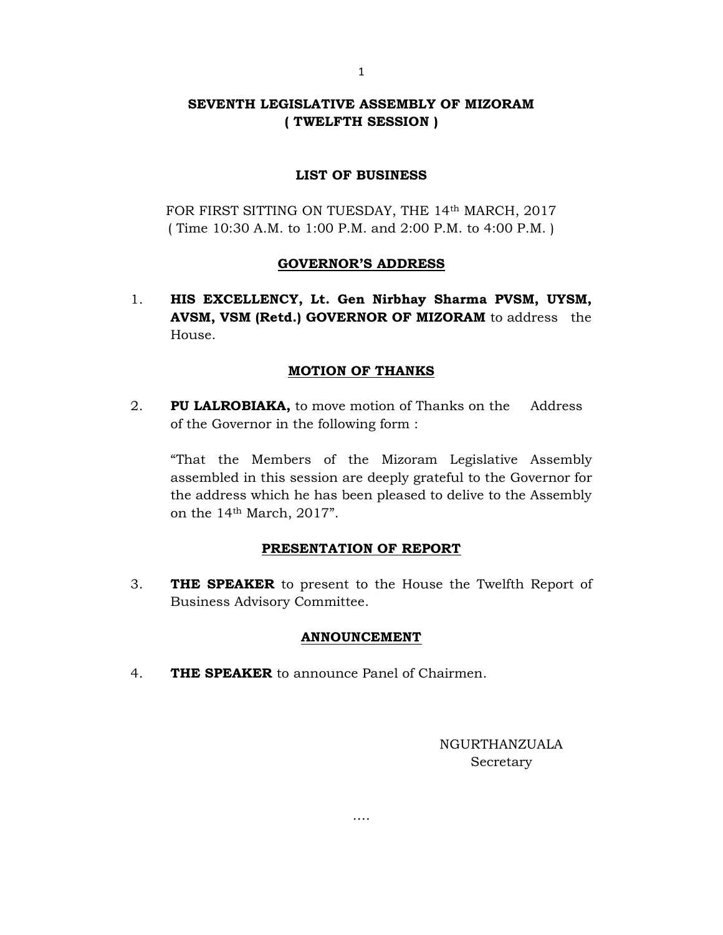# SEVENTH LEGISLATIVE ASSEMBLY OF MIZORAM ( TWELFTH SESSION )

## LIST OF BUSINESS

FOR FIRST SITTING ON TUESDAY, THE 14th MARCH, 2017 ( Time 10:30 A.M. to 1:00 P.M. and 2:00 P.M. to 4:00 P.M. )

## GOVERNOR'S ADDRESS

1. HIS EXCELLENCY, Lt. Gen Nirbhay Sharma PVSM, UYSM, AVSM, VSM (Retd.) GOVERNOR OF MIZORAM to address the House.

## MOTION OF THANKS

2. PU LALROBIAKA, to move motion of Thanks on the Address of the Governor in the following form :

 "That the Members of the Mizoram Legislative Assembly assembled in this session are deeply grateful to the Governor for the address which he has been pleased to delive to the Assembly on the 14th March, 2017".

### PRESENTATION OF REPORT

3. THE SPEAKER to present to the House the Twelfth Report of Business Advisory Committee.

### ANNOUNCEMENT

….

4. THE SPEAKER to announce Panel of Chairmen.

NGURTHANZUALA Secretary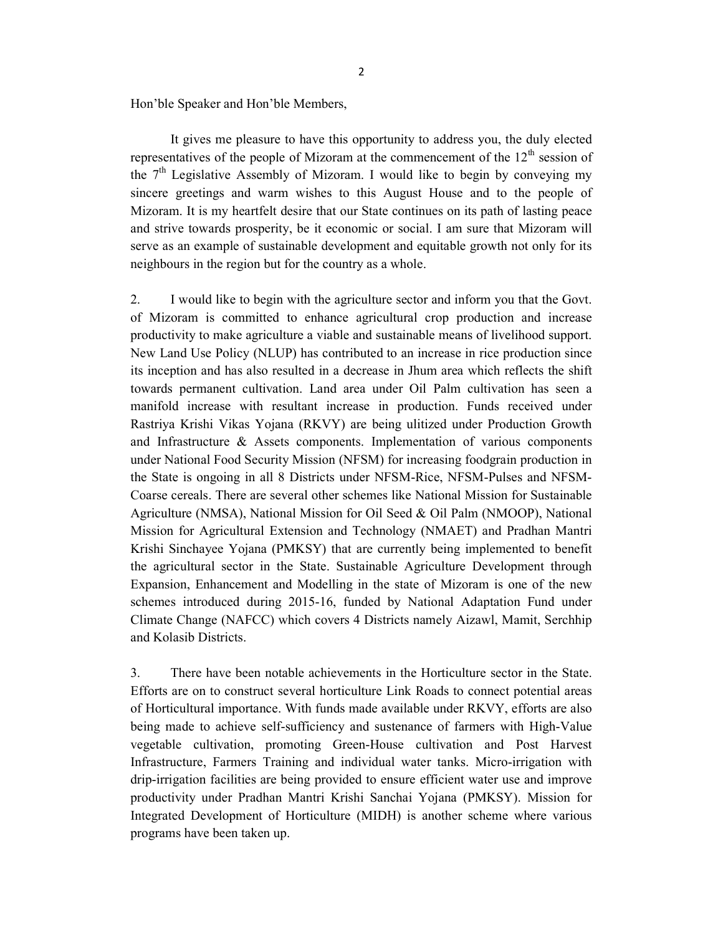Hon'ble Speaker and Hon'ble Members,

 It gives me pleasure to have this opportunity to address you, the duly elected representatives of the people of Mizoram at the commencement of the  $12<sup>th</sup>$  session of the  $7<sup>th</sup>$  Legislative Assembly of Mizoram. I would like to begin by conveying my sincere greetings and warm wishes to this August House and to the people of Mizoram. It is my heartfelt desire that our State continues on its path of lasting peace and strive towards prosperity, be it economic or social. I am sure that Mizoram will serve as an example of sustainable development and equitable growth not only for its neighbours in the region but for the country as a whole.

2. I would like to begin with the agriculture sector and inform you that the Govt. of Mizoram is committed to enhance agricultural crop production and increase productivity to make agriculture a viable and sustainable means of livelihood support. New Land Use Policy (NLUP) has contributed to an increase in rice production since its inception and has also resulted in a decrease in Jhum area which reflects the shift towards permanent cultivation. Land area under Oil Palm cultivation has seen a manifold increase with resultant increase in production. Funds received under Rastriya Krishi Vikas Yojana (RKVY) are being ulitized under Production Growth and Infrastructure & Assets components. Implementation of various components under National Food Security Mission (NFSM) for increasing foodgrain production in the State is ongoing in all 8 Districts under NFSM-Rice, NFSM-Pulses and NFSM-Coarse cereals. There are several other schemes like National Mission for Sustainable Agriculture (NMSA), National Mission for Oil Seed & Oil Palm (NMOOP), National Mission for Agricultural Extension and Technology (NMAET) and Pradhan Mantri Krishi Sinchayee Yojana (PMKSY) that are currently being implemented to benefit the agricultural sector in the State. Sustainable Agriculture Development through Expansion, Enhancement and Modelling in the state of Mizoram is one of the new schemes introduced during 2015-16, funded by National Adaptation Fund under Climate Change (NAFCC) which covers 4 Districts namely Aizawl, Mamit, Serchhip and Kolasib Districts.

3. There have been notable achievements in the Horticulture sector in the State. Efforts are on to construct several horticulture Link Roads to connect potential areas of Horticultural importance. With funds made available under RKVY, efforts are also being made to achieve self-sufficiency and sustenance of farmers with High-Value vegetable cultivation, promoting Green-House cultivation and Post Harvest Infrastructure, Farmers Training and individual water tanks. Micro-irrigation with drip-irrigation facilities are being provided to ensure efficient water use and improve productivity under Pradhan Mantri Krishi Sanchai Yojana (PMKSY). Mission for Integrated Development of Horticulture (MIDH) is another scheme where various programs have been taken up.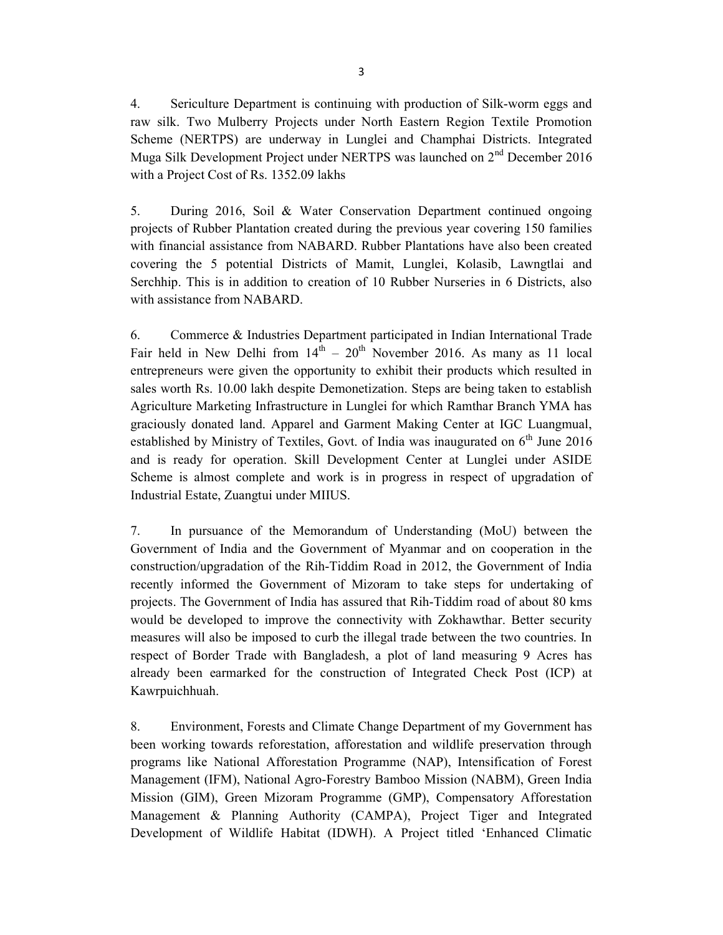4. Sericulture Department is continuing with production of Silk-worm eggs and raw silk. Two Mulberry Projects under North Eastern Region Textile Promotion Scheme (NERTPS) are underway in Lunglei and Champhai Districts. Integrated Muga Silk Development Project under NERTPS was launched on  $2<sup>nd</sup>$  December 2016 with a Project Cost of Rs. 1352.09 lakhs

5. During 2016, Soil & Water Conservation Department continued ongoing projects of Rubber Plantation created during the previous year covering 150 families with financial assistance from NABARD. Rubber Plantations have also been created covering the 5 potential Districts of Mamit, Lunglei, Kolasib, Lawngtlai and Serchhip. This is in addition to creation of 10 Rubber Nurseries in 6 Districts, also with assistance from NABARD.

6. Commerce & Industries Department participated in Indian International Trade Fair held in New Delhi from  $14<sup>th</sup> - 20<sup>th</sup>$  November 2016. As many as 11 local entrepreneurs were given the opportunity to exhibit their products which resulted in sales worth Rs. 10.00 lakh despite Demonetization. Steps are being taken to establish Agriculture Marketing Infrastructure in Lunglei for which Ramthar Branch YMA has graciously donated land. Apparel and Garment Making Center at IGC Luangmual, established by Ministry of Textiles, Govt. of India was inaugurated on  $6<sup>th</sup>$  June 2016 and is ready for operation. Skill Development Center at Lunglei under ASIDE Scheme is almost complete and work is in progress in respect of upgradation of Industrial Estate, Zuangtui under MIIUS.

7. In pursuance of the Memorandum of Understanding (MoU) between the Government of India and the Government of Myanmar and on cooperation in the construction/upgradation of the Rih-Tiddim Road in 2012, the Government of India recently informed the Government of Mizoram to take steps for undertaking of projects. The Government of India has assured that Rih-Tiddim road of about 80 kms would be developed to improve the connectivity with Zokhawthar. Better security measures will also be imposed to curb the illegal trade between the two countries. In respect of Border Trade with Bangladesh, a plot of land measuring 9 Acres has already been earmarked for the construction of Integrated Check Post (ICP) at Kawrpuichhuah.

8. Environment, Forests and Climate Change Department of my Government has been working towards reforestation, afforestation and wildlife preservation through programs like National Afforestation Programme (NAP), Intensification of Forest Management (IFM), National Agro-Forestry Bamboo Mission (NABM), Green India Mission (GIM), Green Mizoram Programme (GMP), Compensatory Afforestation Management & Planning Authority (CAMPA), Project Tiger and Integrated Development of Wildlife Habitat (IDWH). A Project titled 'Enhanced Climatic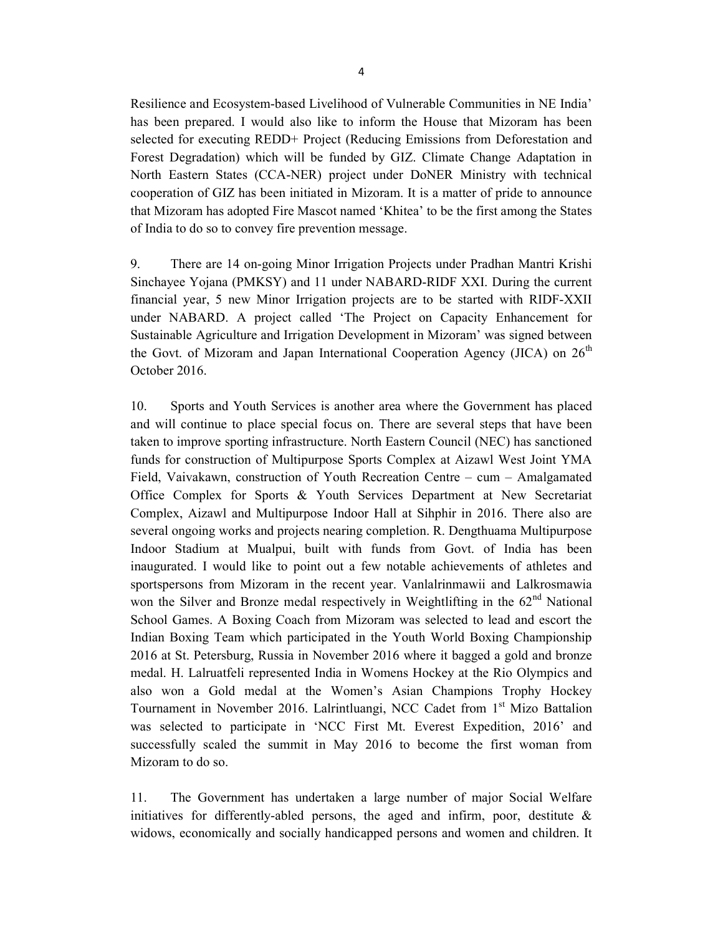Resilience and Ecosystem-based Livelihood of Vulnerable Communities in NE India' has been prepared. I would also like to inform the House that Mizoram has been selected for executing REDD+ Project (Reducing Emissions from Deforestation and Forest Degradation) which will be funded by GIZ. Climate Change Adaptation in North Eastern States (CCA-NER) project under DoNER Ministry with technical cooperation of GIZ has been initiated in Mizoram. It is a matter of pride to announce that Mizoram has adopted Fire Mascot named 'Khitea' to be the first among the States of India to do so to convey fire prevention message.

9. There are 14 on-going Minor Irrigation Projects under Pradhan Mantri Krishi Sinchayee Yojana (PMKSY) and 11 under NABARD-RIDF XXI. During the current financial year, 5 new Minor Irrigation projects are to be started with RIDF-XXII under NABARD. A project called 'The Project on Capacity Enhancement for Sustainable Agriculture and Irrigation Development in Mizoram' was signed between the Govt. of Mizoram and Japan International Cooperation Agency (JICA) on  $26<sup>th</sup>$ October 2016.

10. Sports and Youth Services is another area where the Government has placed and will continue to place special focus on. There are several steps that have been taken to improve sporting infrastructure. North Eastern Council (NEC) has sanctioned funds for construction of Multipurpose Sports Complex at Aizawl West Joint YMA Field, Vaivakawn, construction of Youth Recreation Centre – cum – Amalgamated Office Complex for Sports & Youth Services Department at New Secretariat Complex, Aizawl and Multipurpose Indoor Hall at Sihphir in 2016. There also are several ongoing works and projects nearing completion. R. Dengthuama Multipurpose Indoor Stadium at Mualpui, built with funds from Govt. of India has been inaugurated. I would like to point out a few notable achievements of athletes and sportspersons from Mizoram in the recent year. Vanlalrinmawii and Lalkrosmawia won the Silver and Bronze medal respectively in Weightlifting in the  $62<sup>nd</sup>$  National School Games. A Boxing Coach from Mizoram was selected to lead and escort the Indian Boxing Team which participated in the Youth World Boxing Championship 2016 at St. Petersburg, Russia in November 2016 where it bagged a gold and bronze medal. H. Lalruatfeli represented India in Womens Hockey at the Rio Olympics and also won a Gold medal at the Women's Asian Champions Trophy Hockey Tournament in November 2016. Lalrintluangi, NCC Cadet from 1<sup>st</sup> Mizo Battalion was selected to participate in 'NCC First Mt. Everest Expedition, 2016' and successfully scaled the summit in May 2016 to become the first woman from Mizoram to do so.

11. The Government has undertaken a large number of major Social Welfare initiatives for differently-abled persons, the aged and infirm, poor, destitute  $\&$ widows, economically and socially handicapped persons and women and children. It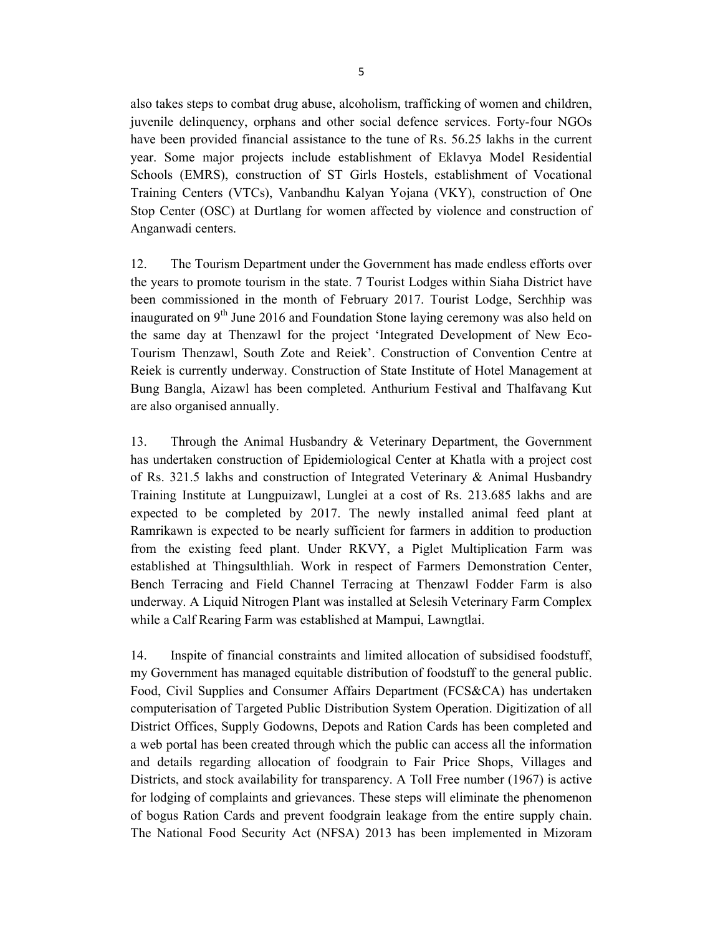also takes steps to combat drug abuse, alcoholism, trafficking of women and children, juvenile delinquency, orphans and other social defence services. Forty-four NGOs have been provided financial assistance to the tune of Rs. 56.25 lakhs in the current year. Some major projects include establishment of Eklavya Model Residential Schools (EMRS), construction of ST Girls Hostels, establishment of Vocational Training Centers (VTCs), Vanbandhu Kalyan Yojana (VKY), construction of One Stop Center (OSC) at Durtlang for women affected by violence and construction of Anganwadi centers.

12. The Tourism Department under the Government has made endless efforts over the years to promote tourism in the state. 7 Tourist Lodges within Siaha District have been commissioned in the month of February 2017. Tourist Lodge, Serchhip was inaugurated on  $9<sup>th</sup>$  June 2016 and Foundation Stone laying ceremony was also held on the same day at Thenzawl for the project 'Integrated Development of New Eco-Tourism Thenzawl, South Zote and Reiek'. Construction of Convention Centre at Reiek is currently underway. Construction of State Institute of Hotel Management at Bung Bangla, Aizawl has been completed. Anthurium Festival and Thalfavang Kut are also organised annually.

13. Through the Animal Husbandry & Veterinary Department, the Government has undertaken construction of Epidemiological Center at Khatla with a project cost of Rs. 321.5 lakhs and construction of Integrated Veterinary & Animal Husbandry Training Institute at Lungpuizawl, Lunglei at a cost of Rs. 213.685 lakhs and are expected to be completed by 2017. The newly installed animal feed plant at Ramrikawn is expected to be nearly sufficient for farmers in addition to production from the existing feed plant. Under RKVY, a Piglet Multiplication Farm was established at Thingsulthliah. Work in respect of Farmers Demonstration Center, Bench Terracing and Field Channel Terracing at Thenzawl Fodder Farm is also underway. A Liquid Nitrogen Plant was installed at Selesih Veterinary Farm Complex while a Calf Rearing Farm was established at Mampui, Lawngtlai.

14. Inspite of financial constraints and limited allocation of subsidised foodstuff, my Government has managed equitable distribution of foodstuff to the general public. Food, Civil Supplies and Consumer Affairs Department (FCS&CA) has undertaken computerisation of Targeted Public Distribution System Operation. Digitization of all District Offices, Supply Godowns, Depots and Ration Cards has been completed and a web portal has been created through which the public can access all the information and details regarding allocation of foodgrain to Fair Price Shops, Villages and Districts, and stock availability for transparency. A Toll Free number (1967) is active for lodging of complaints and grievances. These steps will eliminate the phenomenon of bogus Ration Cards and prevent foodgrain leakage from the entire supply chain. The National Food Security Act (NFSA) 2013 has been implemented in Mizoram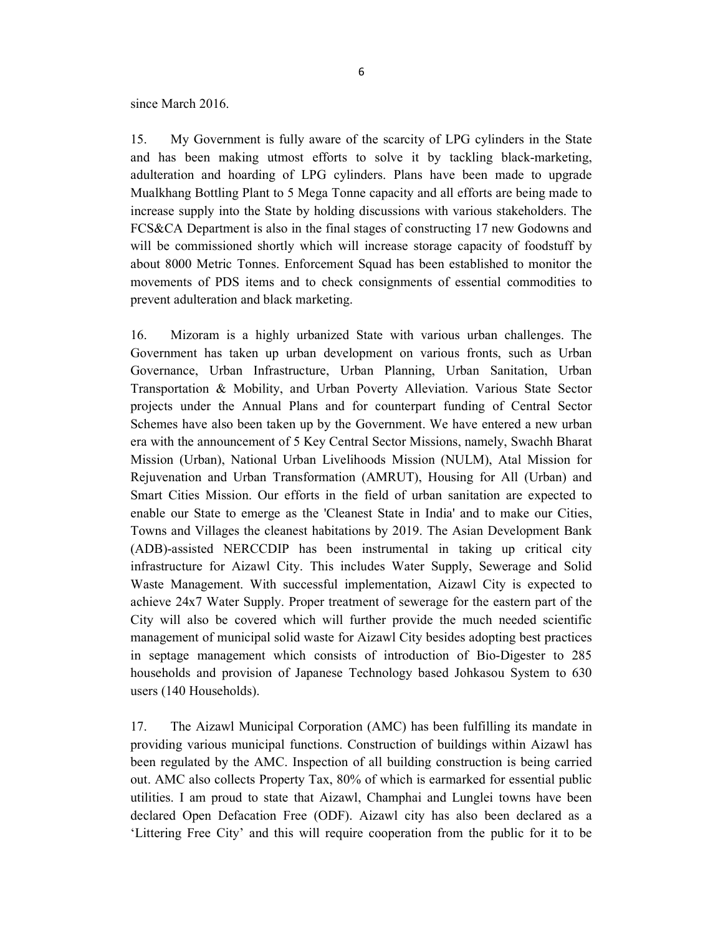since March 2016.

15. My Government is fully aware of the scarcity of LPG cylinders in the State and has been making utmost efforts to solve it by tackling black-marketing, adulteration and hoarding of LPG cylinders. Plans have been made to upgrade Mualkhang Bottling Plant to 5 Mega Tonne capacity and all efforts are being made to increase supply into the State by holding discussions with various stakeholders. The FCS&CA Department is also in the final stages of constructing 17 new Godowns and will be commissioned shortly which will increase storage capacity of foodstuff by about 8000 Metric Tonnes. Enforcement Squad has been established to monitor the movements of PDS items and to check consignments of essential commodities to prevent adulteration and black marketing.

16. Mizoram is a highly urbanized State with various urban challenges. The Government has taken up urban development on various fronts, such as Urban Governance, Urban Infrastructure, Urban Planning, Urban Sanitation, Urban Transportation & Mobility, and Urban Poverty Alleviation. Various State Sector projects under the Annual Plans and for counterpart funding of Central Sector Schemes have also been taken up by the Government. We have entered a new urban era with the announcement of 5 Key Central Sector Missions, namely, Swachh Bharat Mission (Urban), National Urban Livelihoods Mission (NULM), Atal Mission for Rejuvenation and Urban Transformation (AMRUT), Housing for All (Urban) and Smart Cities Mission. Our efforts in the field of urban sanitation are expected to enable our State to emerge as the 'Cleanest State in India' and to make our Cities, Towns and Villages the cleanest habitations by 2019. The Asian Development Bank (ADB)-assisted NERCCDIP has been instrumental in taking up critical city infrastructure for Aizawl City. This includes Water Supply, Sewerage and Solid Waste Management. With successful implementation, Aizawl City is expected to achieve 24x7 Water Supply. Proper treatment of sewerage for the eastern part of the City will also be covered which will further provide the much needed scientific management of municipal solid waste for Aizawl City besides adopting best practices in septage management which consists of introduction of Bio-Digester to 285 households and provision of Japanese Technology based Johkasou System to 630 users (140 Households).

17. The Aizawl Municipal Corporation (AMC) has been fulfilling its mandate in providing various municipal functions. Construction of buildings within Aizawl has been regulated by the AMC. Inspection of all building construction is being carried out. AMC also collects Property Tax, 80% of which is earmarked for essential public utilities. I am proud to state that Aizawl, Champhai and Lunglei towns have been declared Open Defacation Free (ODF). Aizawl city has also been declared as a 'Littering Free City' and this will require cooperation from the public for it to be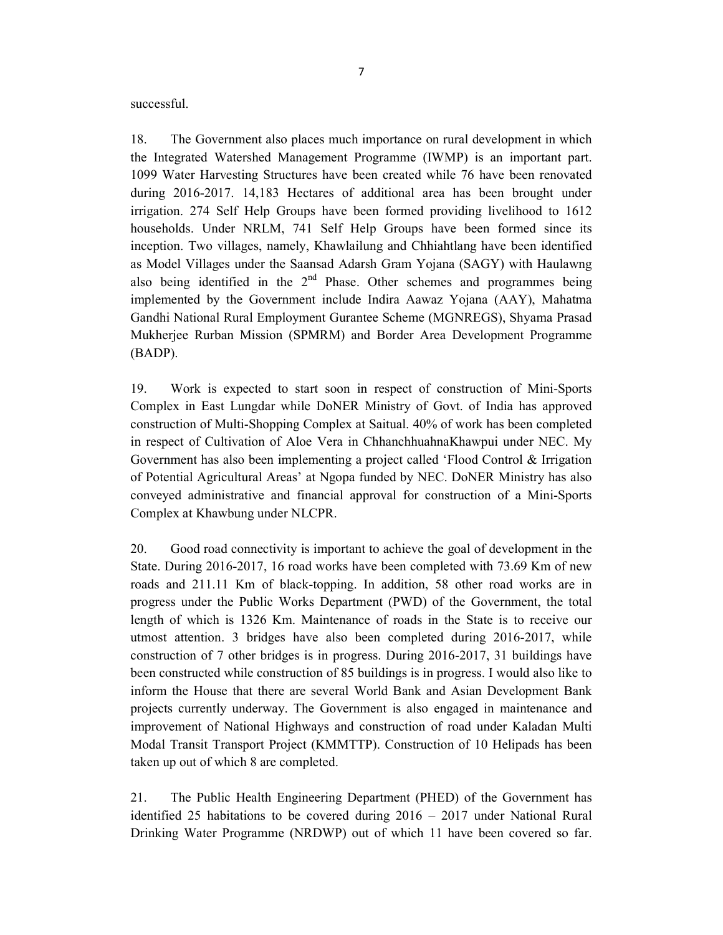successful.

18. The Government also places much importance on rural development in which the Integrated Watershed Management Programme (IWMP) is an important part. 1099 Water Harvesting Structures have been created while 76 have been renovated during 2016-2017. 14,183 Hectares of additional area has been brought under irrigation. 274 Self Help Groups have been formed providing livelihood to 1612 households. Under NRLM, 741 Self Help Groups have been formed since its inception. Two villages, namely, Khawlailung and Chhiahtlang have been identified as Model Villages under the Saansad Adarsh Gram Yojana (SAGY) with Haulawng also being identified in the  $2<sup>nd</sup>$  Phase. Other schemes and programmes being implemented by the Government include Indira Aawaz Yojana (AAY), Mahatma Gandhi National Rural Employment Gurantee Scheme (MGNREGS), Shyama Prasad Mukherjee Rurban Mission (SPMRM) and Border Area Development Programme (BADP).

19. Work is expected to start soon in respect of construction of Mini-Sports Complex in East Lungdar while DoNER Ministry of Govt. of India has approved construction of Multi-Shopping Complex at Saitual. 40% of work has been completed in respect of Cultivation of Aloe Vera in ChhanchhuahnaKhawpui under NEC. My Government has also been implementing a project called 'Flood Control & Irrigation of Potential Agricultural Areas' at Ngopa funded by NEC. DoNER Ministry has also conveyed administrative and financial approval for construction of a Mini-Sports Complex at Khawbung under NLCPR.

20. Good road connectivity is important to achieve the goal of development in the State. During 2016-2017, 16 road works have been completed with 73.69 Km of new roads and 211.11 Km of black-topping. In addition, 58 other road works are in progress under the Public Works Department (PWD) of the Government, the total length of which is 1326 Km. Maintenance of roads in the State is to receive our utmost attention. 3 bridges have also been completed during 2016-2017, while construction of 7 other bridges is in progress. During 2016-2017, 31 buildings have been constructed while construction of 85 buildings is in progress. I would also like to inform the House that there are several World Bank and Asian Development Bank projects currently underway. The Government is also engaged in maintenance and improvement of National Highways and construction of road under Kaladan Multi Modal Transit Transport Project (KMMTTP). Construction of 10 Helipads has been taken up out of which 8 are completed.

21. The Public Health Engineering Department (PHED) of the Government has identified 25 habitations to be covered during 2016 – 2017 under National Rural Drinking Water Programme (NRDWP) out of which 11 have been covered so far.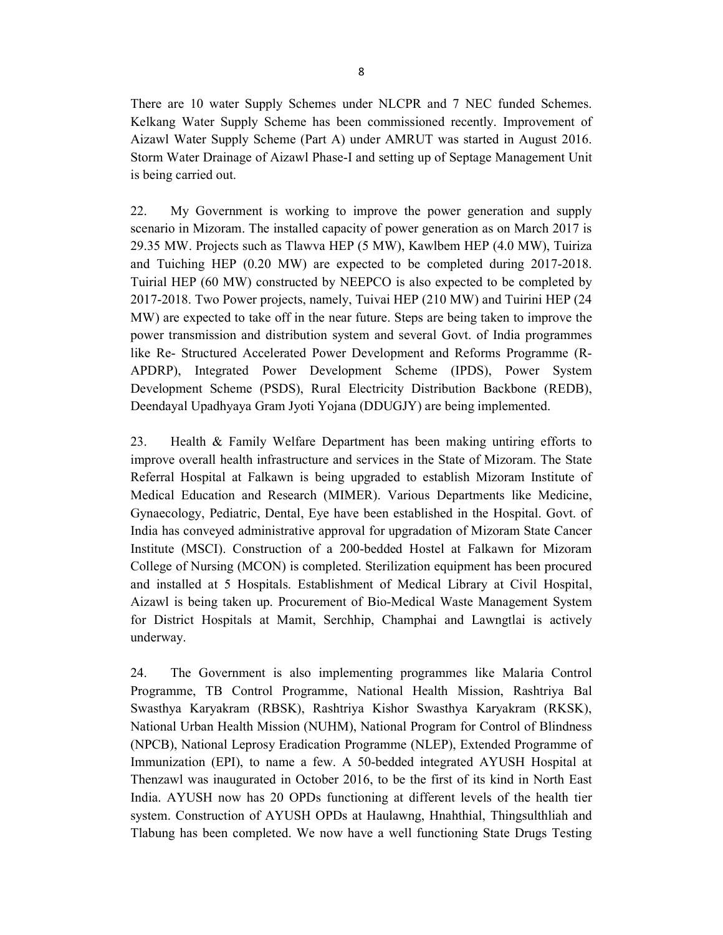There are 10 water Supply Schemes under NLCPR and 7 NEC funded Schemes. Kelkang Water Supply Scheme has been commissioned recently. Improvement of Aizawl Water Supply Scheme (Part A) under AMRUT was started in August 2016. Storm Water Drainage of Aizawl Phase-I and setting up of Septage Management Unit is being carried out.

22. My Government is working to improve the power generation and supply scenario in Mizoram. The installed capacity of power generation as on March 2017 is 29.35 MW. Projects such as Tlawva HEP (5 MW), Kawlbem HEP (4.0 MW), Tuiriza and Tuiching HEP (0.20 MW) are expected to be completed during 2017-2018. Tuirial HEP (60 MW) constructed by NEEPCO is also expected to be completed by 2017-2018. Two Power projects, namely, Tuivai HEP (210 MW) and Tuirini HEP (24 MW) are expected to take off in the near future. Steps are being taken to improve the power transmission and distribution system and several Govt. of India programmes like Re- Structured Accelerated Power Development and Reforms Programme (R-APDRP), Integrated Power Development Scheme (IPDS), Power System Development Scheme (PSDS), Rural Electricity Distribution Backbone (REDB), Deendayal Upadhyaya Gram Jyoti Yojana (DDUGJY) are being implemented.

23. Health & Family Welfare Department has been making untiring efforts to improve overall health infrastructure and services in the State of Mizoram. The State Referral Hospital at Falkawn is being upgraded to establish Mizoram Institute of Medical Education and Research (MIMER). Various Departments like Medicine, Gynaecology, Pediatric, Dental, Eye have been established in the Hospital. Govt. of India has conveyed administrative approval for upgradation of Mizoram State Cancer Institute (MSCI). Construction of a 200-bedded Hostel at Falkawn for Mizoram College of Nursing (MCON) is completed. Sterilization equipment has been procured and installed at 5 Hospitals. Establishment of Medical Library at Civil Hospital, Aizawl is being taken up. Procurement of Bio-Medical Waste Management System for District Hospitals at Mamit, Serchhip, Champhai and Lawngtlai is actively underway.

24. The Government is also implementing programmes like Malaria Control Programme, TB Control Programme, National Health Mission, Rashtriya Bal Swasthya Karyakram (RBSK), Rashtriya Kishor Swasthya Karyakram (RKSK), National Urban Health Mission (NUHM), National Program for Control of Blindness (NPCB), National Leprosy Eradication Programme (NLEP), Extended Programme of Immunization (EPI), to name a few. A 50-bedded integrated AYUSH Hospital at Thenzawl was inaugurated in October 2016, to be the first of its kind in North East India. AYUSH now has 20 OPDs functioning at different levels of the health tier system. Construction of AYUSH OPDs at Haulawng, Hnahthial, Thingsulthliah and Tlabung has been completed. We now have a well functioning State Drugs Testing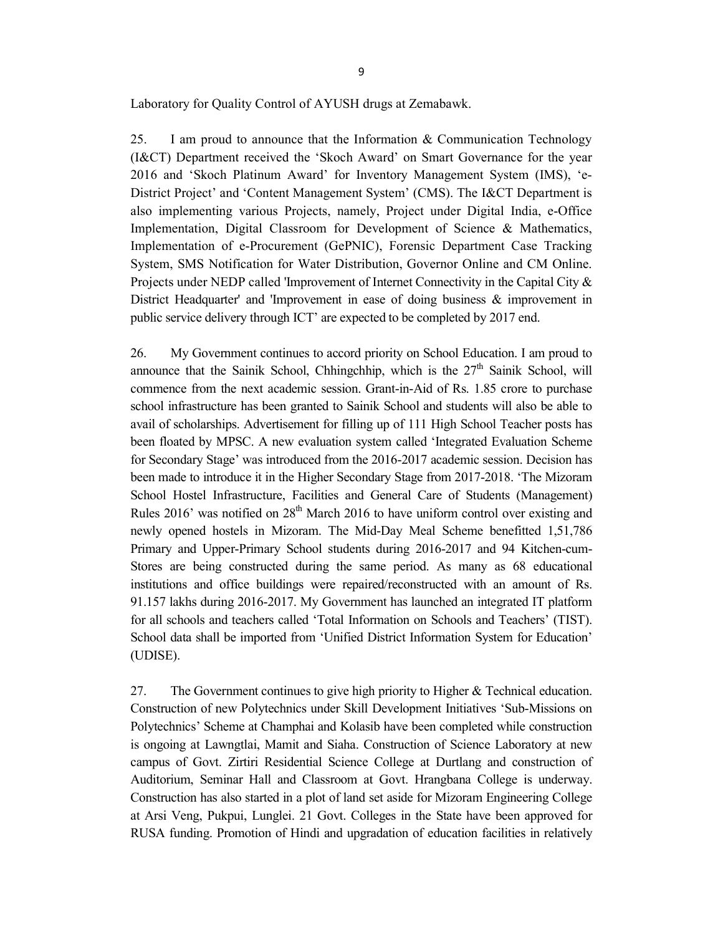Laboratory for Quality Control of AYUSH drugs at Zemabawk.

25. I am proud to announce that the Information & Communication Technology (I&CT) Department received the 'Skoch Award' on Smart Governance for the year 2016 and 'Skoch Platinum Award' for Inventory Management System (IMS), 'e-District Project' and 'Content Management System' (CMS). The I&CT Department is also implementing various Projects, namely, Project under Digital India, e-Office Implementation, Digital Classroom for Development of Science & Mathematics, Implementation of e-Procurement (GePNIC), Forensic Department Case Tracking System, SMS Notification for Water Distribution, Governor Online and CM Online. Projects under NEDP called 'Improvement of Internet Connectivity in the Capital City & District Headquarter' and 'Improvement in ease of doing business & improvement in public service delivery through ICT' are expected to be completed by 2017 end.

26. My Government continues to accord priority on School Education. I am proud to announce that the Sainik School, Chhingchhip, which is the  $27<sup>th</sup>$  Sainik School, will commence from the next academic session. Grant-in-Aid of Rs. 1.85 crore to purchase school infrastructure has been granted to Sainik School and students will also be able to avail of scholarships. Advertisement for filling up of 111 High School Teacher posts has been floated by MPSC. A new evaluation system called 'Integrated Evaluation Scheme for Secondary Stage' was introduced from the 2016-2017 academic session. Decision has been made to introduce it in the Higher Secondary Stage from 2017-2018. 'The Mizoram School Hostel Infrastructure, Facilities and General Care of Students (Management) Rules  $2016'$  was notified on  $28<sup>th</sup>$  March 2016 to have uniform control over existing and newly opened hostels in Mizoram. The Mid-Day Meal Scheme benefitted 1,51,786 Primary and Upper-Primary School students during 2016-2017 and 94 Kitchen-cum-Stores are being constructed during the same period. As many as 68 educational institutions and office buildings were repaired/reconstructed with an amount of Rs. 91.157 lakhs during 2016-2017. My Government has launched an integrated IT platform for all schools and teachers called 'Total Information on Schools and Teachers' (TIST). School data shall be imported from 'Unified District Information System for Education' (UDISE).

27. The Government continues to give high priority to Higher & Technical education. Construction of new Polytechnics under Skill Development Initiatives 'Sub-Missions on Polytechnics' Scheme at Champhai and Kolasib have been completed while construction is ongoing at Lawngtlai, Mamit and Siaha. Construction of Science Laboratory at new campus of Govt. Zirtiri Residential Science College at Durtlang and construction of Auditorium, Seminar Hall and Classroom at Govt. Hrangbana College is underway. Construction has also started in a plot of land set aside for Mizoram Engineering College at Arsi Veng, Pukpui, Lunglei. 21 Govt. Colleges in the State have been approved for RUSA funding. Promotion of Hindi and upgradation of education facilities in relatively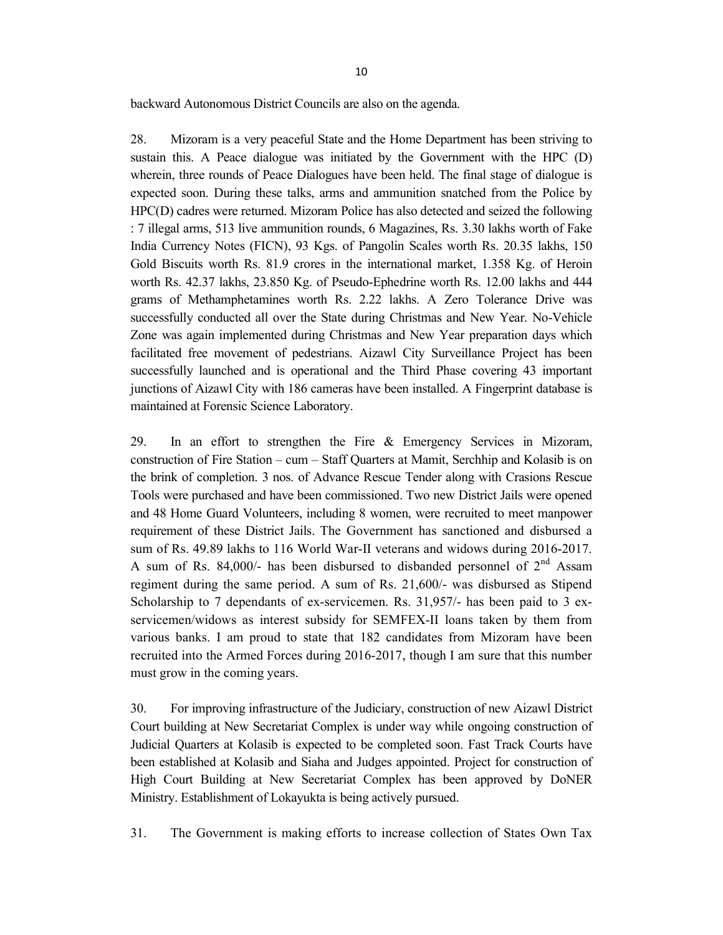backward Autonomous District Councils are also on the agenda.

28. Mizoram is a very peaceful State and the Home Department has been striving to sustain this. A Peace dialogue was initiated by the Government with the HPC (D) wherein, three rounds of Peace Dialogues have been held. The final stage of dialogue is expected soon. During these talks, arms and ammunition snatched from the Police by HPC(D) cadres were returned. Mizoram Police has also detected and seized the following : 7 illegal arms, 513 live ammunition rounds, 6 Magazines, Rs. 3.30 lakhs worth of Fake India Currency Notes (FICN), 93 Kgs. of Pangolin Scales worth Rs. 20.35 lakhs, 150 Gold Biscuits worth Rs. 81.9 crores in the international market, 1.358 Kg. of Heroin worth Rs. 42.37 lakhs, 23.850 Kg. of Pseudo-Ephedrine worth Rs. 12.00 lakhs and 444 grams of Methamphetamines worth Rs. 2.22 lakhs. A Zero Tolerance Drive was successfully conducted all over the State during Christmas and New Year. No-Vehicle Zone was again implemented during Christmas and New Year preparation days which facilitated free movement of pedestrians. Aizawl City Surveillance Project has been successfully launched and is operational and the Third Phase covering 43 important junctions of Aizawl City with 186 cameras have been installed. A Fingerprint database is maintained at Forensic Science Laboratory.

29. In an effort to strengthen the Fire & Emergency Services in Mizoram, construction of Fire Station – cum – Staff Quarters at Mamit, Serchhip and Kolasib is on the brink of completion. 3 nos. of Advance Rescue Tender along with Crasions Rescue Tools were purchased and have been commissioned. Two new District Jails were opened and 48 Home Guard Volunteers, including 8 women, were recruited to meet manpower requirement of these District Jails. The Government has sanctioned and disbursed a sum of Rs. 49.89 lakhs to 116 World War-II veterans and widows during 2016-2017. A sum of Rs. 84,000/- has been disbursed to disbanded personnel of  $2<sup>nd</sup>$  Assam regiment during the same period. A sum of Rs. 21,600/- was disbursed as Stipend Scholarship to 7 dependants of ex-servicemen. Rs. 31,957/- has been paid to 3 exservicemen/widows as interest subsidy for SEMFEX-II loans taken by them from various banks. I am proud to state that 182 candidates from Mizoram have been recruited into the Armed Forces during 2016-2017, though I am sure that this number must grow in the coming years.

30. For improving infrastructure of the Judiciary, construction of new Aizawl District Court building at New Secretariat Complex is under way while ongoing construction of Judicial Quarters at Kolasib is expected to be completed soon. Fast Track Courts have been established at Kolasib and Siaha and Judges appointed. Project for construction of High Court Building at New Secretariat Complex has been approved by DoNER Ministry. Establishment of Lokayukta is being actively pursued.

31. The Government is making efforts to increase collection of States Own Tax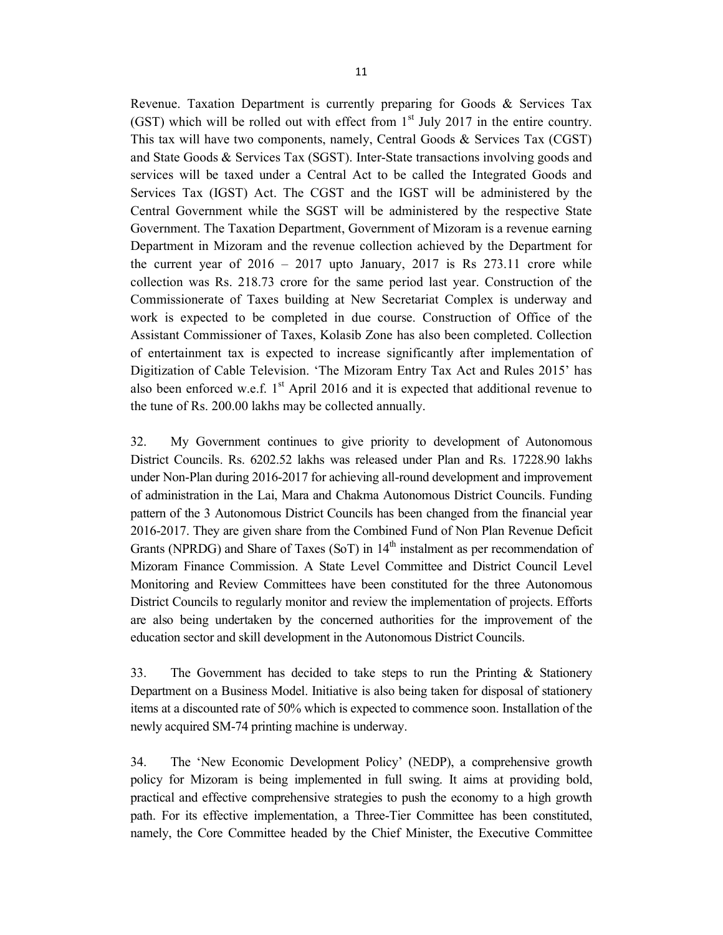Revenue. Taxation Department is currently preparing for Goods & Services Tax (GST) which will be rolled out with effect from  $1<sup>st</sup>$  July 2017 in the entire country. This tax will have two components, namely, Central Goods & Services Tax (CGST) and State Goods & Services Tax (SGST). Inter-State transactions involving goods and services will be taxed under a Central Act to be called the Integrated Goods and Services Tax (IGST) Act. The CGST and the IGST will be administered by the Central Government while the SGST will be administered by the respective State Government. The Taxation Department, Government of Mizoram is a revenue earning Department in Mizoram and the revenue collection achieved by the Department for the current year of  $2016 - 2017$  upto January,  $2017$  is Rs  $273.11$  crore while collection was Rs. 218.73 crore for the same period last year. Construction of the Commissionerate of Taxes building at New Secretariat Complex is underway and work is expected to be completed in due course. Construction of Office of the Assistant Commissioner of Taxes, Kolasib Zone has also been completed. Collection of entertainment tax is expected to increase significantly after implementation of Digitization of Cable Television. 'The Mizoram Entry Tax Act and Rules 2015' has also been enforced w.e.f.  $1<sup>st</sup>$  April 2016 and it is expected that additional revenue to the tune of Rs. 200.00 lakhs may be collected annually.

32. My Government continues to give priority to development of Autonomous District Councils. Rs. 6202.52 lakhs was released under Plan and Rs. 17228.90 lakhs under Non-Plan during 2016-2017 for achieving all-round development and improvement of administration in the Lai, Mara and Chakma Autonomous District Councils. Funding pattern of the 3 Autonomous District Councils has been changed from the financial year 2016-2017. They are given share from the Combined Fund of Non Plan Revenue Deficit Grants (NPRDG) and Share of Taxes (SoT) in  $14<sup>th</sup>$  instalment as per recommendation of Mizoram Finance Commission. A State Level Committee and District Council Level Monitoring and Review Committees have been constituted for the three Autonomous District Councils to regularly monitor and review the implementation of projects. Efforts are also being undertaken by the concerned authorities for the improvement of the education sector and skill development in the Autonomous District Councils.

33. The Government has decided to take steps to run the Printing & Stationery Department on a Business Model. Initiative is also being taken for disposal of stationery items at a discounted rate of 50% which is expected to commence soon. Installation of the newly acquired SM-74 printing machine is underway.

34. The 'New Economic Development Policy' (NEDP), a comprehensive growth policy for Mizoram is being implemented in full swing. It aims at providing bold, practical and effective comprehensive strategies to push the economy to a high growth path. For its effective implementation, a Three-Tier Committee has been constituted, namely, the Core Committee headed by the Chief Minister, the Executive Committee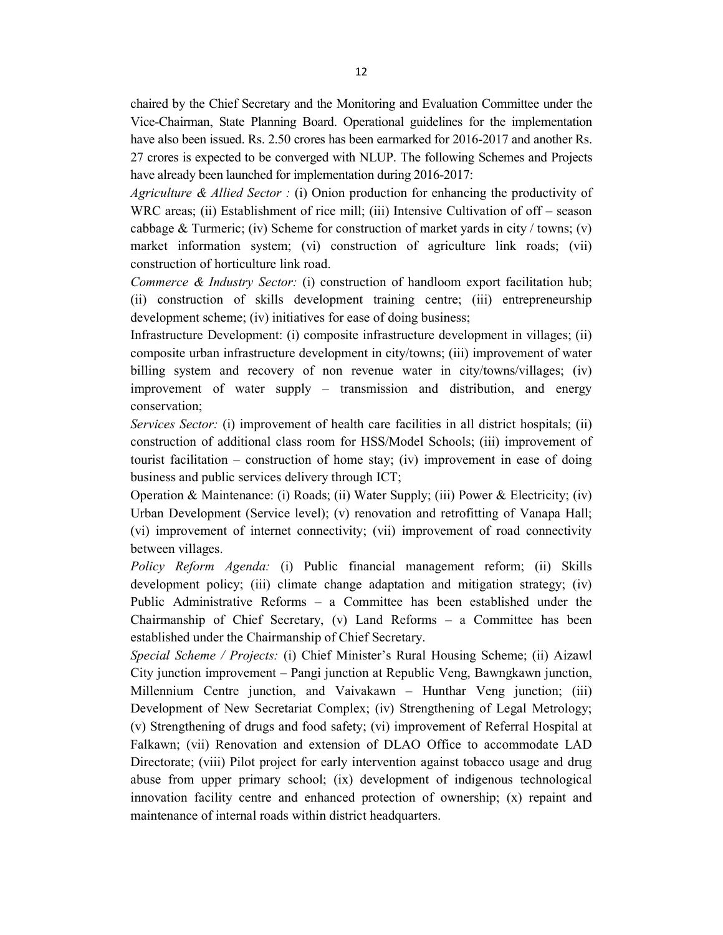chaired by the Chief Secretary and the Monitoring and Evaluation Committee under the Vice-Chairman, State Planning Board. Operational guidelines for the implementation have also been issued. Rs. 2.50 crores has been earmarked for 2016-2017 and another Rs. 27 crores is expected to be converged with NLUP. The following Schemes and Projects have already been launched for implementation during 2016-2017:

Agriculture & Allied Sector : (i) Onion production for enhancing the productivity of WRC areas; (ii) Establishment of rice mill; (iii) Intensive Cultivation of off – season cabbage & Turmeric; (iv) Scheme for construction of market yards in city / towns; (v) market information system; (vi) construction of agriculture link roads; (vii) construction of horticulture link road.

Commerce & Industry Sector: (i) construction of handloom export facilitation hub; (ii) construction of skills development training centre; (iii) entrepreneurship development scheme; (iv) initiatives for ease of doing business;

Infrastructure Development: (i) composite infrastructure development in villages; (ii) composite urban infrastructure development in city/towns; (iii) improvement of water billing system and recovery of non revenue water in city/towns/villages; (iv) improvement of water supply – transmission and distribution, and energy conservation;

Services Sector: (i) improvement of health care facilities in all district hospitals; (ii) construction of additional class room for HSS/Model Schools; (iii) improvement of tourist facilitation – construction of home stay; (iv) improvement in ease of doing business and public services delivery through ICT;

Operation & Maintenance: (i) Roads; (ii) Water Supply; (iii) Power & Electricity; (iv) Urban Development (Service level); (v) renovation and retrofitting of Vanapa Hall; (vi) improvement of internet connectivity; (vii) improvement of road connectivity between villages.

Policy Reform Agenda: (i) Public financial management reform; (ii) Skills development policy; (iii) climate change adaptation and mitigation strategy; (iv) Public Administrative Reforms – a Committee has been established under the Chairmanship of Chief Secretary,  $(v)$  Land Reforms – a Committee has been established under the Chairmanship of Chief Secretary.

Special Scheme / Projects: (i) Chief Minister's Rural Housing Scheme; (ii) Aizawl City junction improvement – Pangi junction at Republic Veng, Bawngkawn junction, Millennium Centre junction, and Vaivakawn – Hunthar Veng junction; (iii) Development of New Secretariat Complex; (iv) Strengthening of Legal Metrology; (v) Strengthening of drugs and food safety; (vi) improvement of Referral Hospital at Falkawn; (vii) Renovation and extension of DLAO Office to accommodate LAD Directorate; (viii) Pilot project for early intervention against tobacco usage and drug abuse from upper primary school; (ix) development of indigenous technological innovation facility centre and enhanced protection of ownership; (x) repaint and maintenance of internal roads within district headquarters.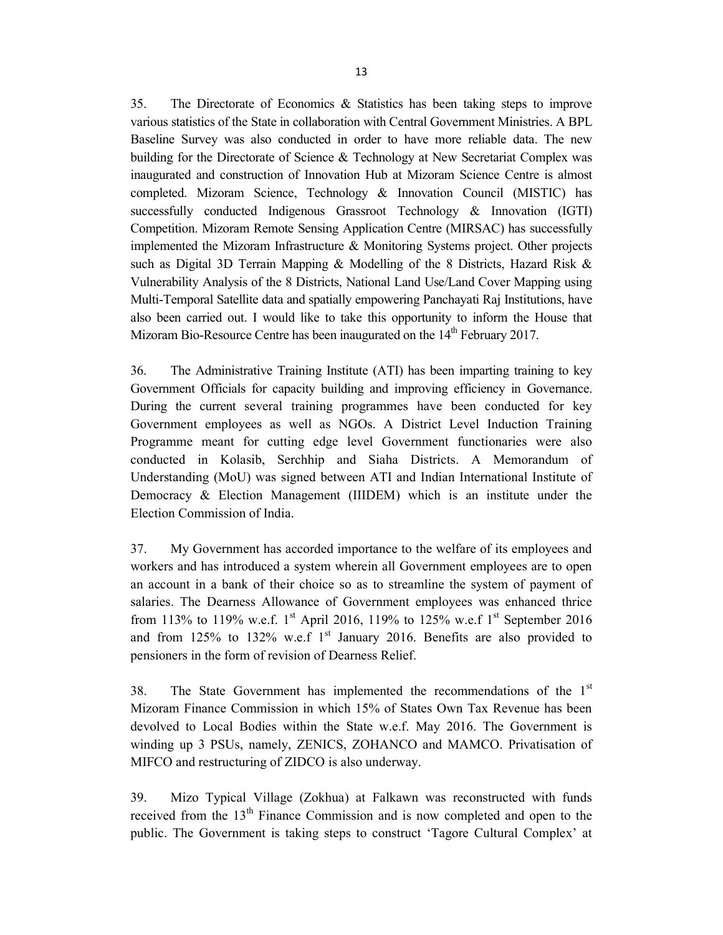35. The Directorate of Economics & Statistics has been taking steps to improve various statistics of the State in collaboration with Central Government Ministries. A BPL Baseline Survey was also conducted in order to have more reliable data. The new building for the Directorate of Science & Technology at New Secretariat Complex was inaugurated and construction of Innovation Hub at Mizoram Science Centre is almost completed. Mizoram Science, Technology & Innovation Council (MISTIC) has successfully conducted Indigenous Grassroot Technology & Innovation (IGTI) Competition. Mizoram Remote Sensing Application Centre (MIRSAC) has successfully implemented the Mizoram Infrastructure & Monitoring Systems project. Other projects such as Digital 3D Terrain Mapping & Modelling of the 8 Districts, Hazard Risk & Vulnerability Analysis of the 8 Districts, National Land Use/Land Cover Mapping using Multi-Temporal Satellite data and spatially empowering Panchayati Raj Institutions, have also been carried out. I would like to take this opportunity to inform the House that Mizoram Bio-Resource Centre has been inaugurated on the  $14<sup>th</sup>$  February 2017.

36. The Administrative Training Institute (ATI) has been imparting training to key Government Officials for capacity building and improving efficiency in Governance. During the current several training programmes have been conducted for key Government employees as well as NGOs. A District Level Induction Training Programme meant for cutting edge level Government functionaries were also conducted in Kolasib, Serchhip and Siaha Districts. A Memorandum of Understanding (MoU) was signed between ATI and Indian International Institute of Democracy & Election Management (IIIDEM) which is an institute under the Election Commission of India.

37. My Government has accorded importance to the welfare of its employees and workers and has introduced a system wherein all Government employees are to open an account in a bank of their choice so as to streamline the system of payment of salaries. The Dearness Allowance of Government employees was enhanced thrice from 113% to 119% w.e.f. 1<sup>st</sup> April 2016, 119% to 125% w.e.f 1<sup>st</sup> September 2016 and from 125% to 132% w.e.f  $1<sup>st</sup>$  January 2016. Benefits are also provided to pensioners in the form of revision of Dearness Relief.

38. The State Government has implemented the recommendations of the  $1<sup>st</sup>$ Mizoram Finance Commission in which 15% of States Own Tax Revenue has been devolved to Local Bodies within the State w.e.f. May 2016. The Government is winding up 3 PSUs, namely, ZENICS, ZOHANCO and MAMCO. Privatisation of MIFCO and restructuring of ZIDCO is also underway.

39. Mizo Typical Village (Zokhua) at Falkawn was reconstructed with funds received from the  $13<sup>th</sup>$  Finance Commission and is now completed and open to the public. The Government is taking steps to construct 'Tagore Cultural Complex' at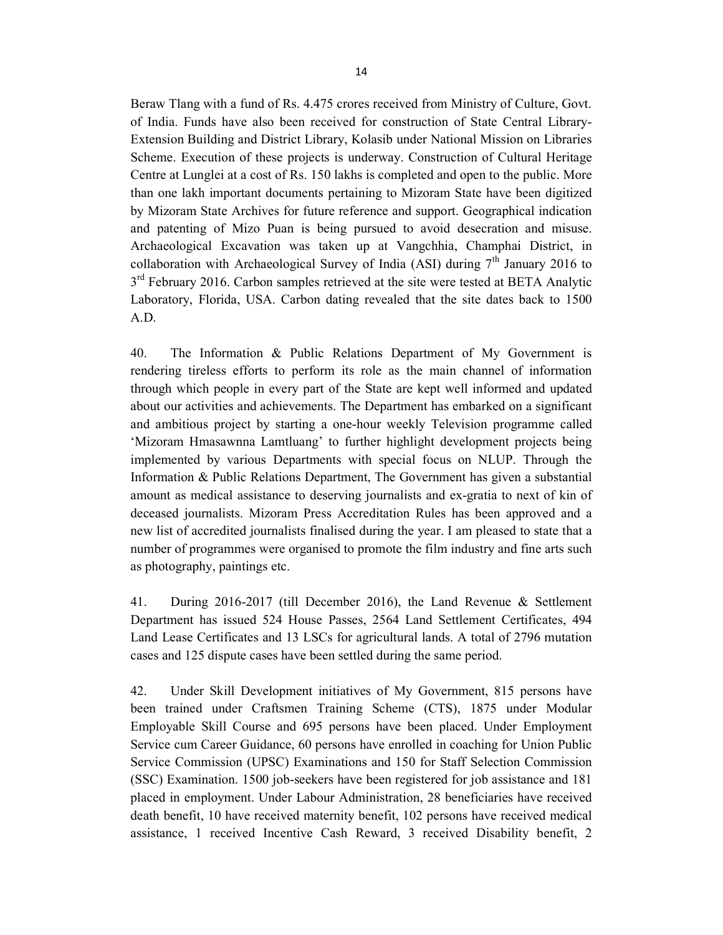Beraw Tlang with a fund of Rs. 4.475 crores received from Ministry of Culture, Govt. of India. Funds have also been received for construction of State Central Library-Extension Building and District Library, Kolasib under National Mission on Libraries Scheme. Execution of these projects is underway. Construction of Cultural Heritage Centre at Lunglei at a cost of Rs. 150 lakhs is completed and open to the public. More than one lakh important documents pertaining to Mizoram State have been digitized by Mizoram State Archives for future reference and support. Geographical indication and patenting of Mizo Puan is being pursued to avoid desecration and misuse. Archaeological Excavation was taken up at Vangchhia, Champhai District, in collaboration with Archaeological Survey of India (ASI) during  $7<sup>th</sup>$  January 2016 to 3<sup>rd</sup> February 2016. Carbon samples retrieved at the site were tested at BETA Analytic Laboratory, Florida, USA. Carbon dating revealed that the site dates back to 1500 A.D.

40. The Information & Public Relations Department of My Government is rendering tireless efforts to perform its role as the main channel of information through which people in every part of the State are kept well informed and updated about our activities and achievements. The Department has embarked on a significant and ambitious project by starting a one-hour weekly Television programme called 'Mizoram Hmasawnna Lamtluang' to further highlight development projects being implemented by various Departments with special focus on NLUP. Through the Information & Public Relations Department, The Government has given a substantial amount as medical assistance to deserving journalists and ex-gratia to next of kin of deceased journalists. Mizoram Press Accreditation Rules has been approved and a new list of accredited journalists finalised during the year. I am pleased to state that a number of programmes were organised to promote the film industry and fine arts such as photography, paintings etc.

41. During 2016-2017 (till December 2016), the Land Revenue & Settlement Department has issued 524 House Passes, 2564 Land Settlement Certificates, 494 Land Lease Certificates and 13 LSCs for agricultural lands. A total of 2796 mutation cases and 125 dispute cases have been settled during the same period.

42. Under Skill Development initiatives of My Government, 815 persons have been trained under Craftsmen Training Scheme (CTS), 1875 under Modular Employable Skill Course and 695 persons have been placed. Under Employment Service cum Career Guidance, 60 persons have enrolled in coaching for Union Public Service Commission (UPSC) Examinations and 150 for Staff Selection Commission (SSC) Examination. 1500 job-seekers have been registered for job assistance and 181 placed in employment. Under Labour Administration, 28 beneficiaries have received death benefit, 10 have received maternity benefit, 102 persons have received medical assistance, 1 received Incentive Cash Reward, 3 received Disability benefit, 2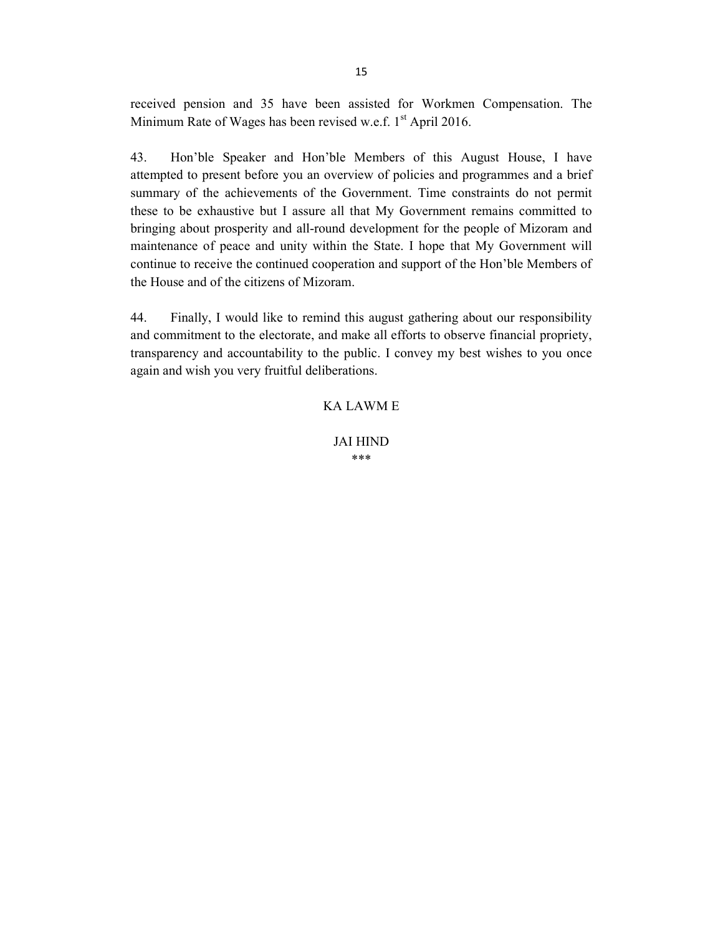received pension and 35 have been assisted for Workmen Compensation. The Minimum Rate of Wages has been revised w.e.f.  $1<sup>st</sup>$  April 2016.

43. Hon'ble Speaker and Hon'ble Members of this August House, I have attempted to present before you an overview of policies and programmes and a brief summary of the achievements of the Government. Time constraints do not permit these to be exhaustive but I assure all that My Government remains committed to bringing about prosperity and all-round development for the people of Mizoram and maintenance of peace and unity within the State. I hope that My Government will continue to receive the continued cooperation and support of the Hon'ble Members of the House and of the citizens of Mizoram.

44. Finally, I would like to remind this august gathering about our responsibility and commitment to the electorate, and make all efforts to observe financial propriety, transparency and accountability to the public. I convey my best wishes to you once again and wish you very fruitful deliberations.

### KA LAWM E

JAI HIND \*\*\*